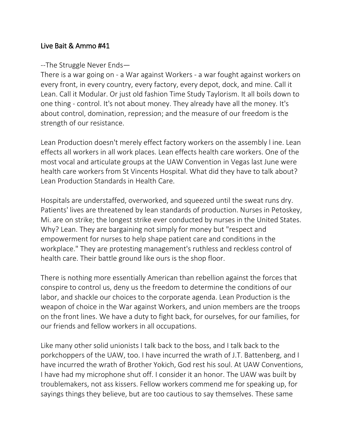## Live Bait & Ammo #41

## --The Struggle Never Ends—

There is a war going on - a War against Workers - a war fought against workers on every front, in every country, every factory, every depot, dock, and mine. Call it Lean. Call it Modular. Or just old fashion Time Study Taylorism. It all boils down to one thing - control. It's not about money. They already have all the money. It's about control, domination, repression; and the measure of our freedom is the strength of our resistance.

Lean Production doesn't merely effect factory workers on the assembly l ine. Lean effects all workers in all work places. Lean effects health care workers. One of the most vocal and articulate groups at the UAW Convention in Vegas last June were health care workers from St Vincents Hospital. What did they have to talk about? Lean Production Standards in Health Care.

Hospitals are understaffed, overworked, and squeezed until the sweat runs dry. Patients' lives are threatened by lean standards of production. Nurses in Petoskey, Mi. are on strike; the longest strike ever conducted by nurses in the United States. Why? Lean. They are bargaining not simply for money but "respect and empowerment for nurses to help shape patient care and conditions in the workplace." They are protesting management's ruthless and reckless control of health care. Their battle ground like ours is the shop floor.

There is nothing more essentially American than rebellion against the forces that conspire to control us, deny us the freedom to determine the conditions of our labor, and shackle our choices to the corporate agenda. Lean Production is the weapon of choice in the War against Workers, and union members are the troops on the front lines. We have a duty to fight back, for ourselves, for our families, for our friends and fellow workers in all occupations.

Like many other solid unionists I talk back to the boss, and I talk back to the porkchoppers of the UAW, too. I have incurred the wrath of J.T. Battenberg, and I have incurred the wrath of Brother Yokich, God rest his soul. At UAW Conventions, I have had my microphone shut off. I consider it an honor. The UAW was built by troublemakers, not ass kissers. Fellow workers commend me for speaking up, for sayings things they believe, but are too cautious to say themselves. These same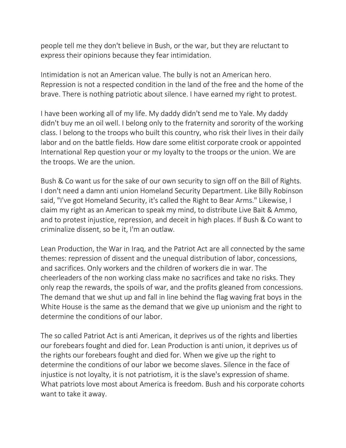people tell me they don't believe in Bush, or the war, but they are reluctant to express their opinions because they fear intimidation.

Intimidation is not an American value. The bully is not an American hero. Repression is not a respected condition in the land of the free and the home of the brave. There is nothing patriotic about silence. I have earned my right to protest.

I have been working all of my life. My daddy didn't send me to Yale. My daddy didn't buy me an oil well. I belong only to the fraternity and sorority of the working class. I belong to the troops who built this country, who risk their lives in their daily labor and on the battle fields. How dare some elitist corporate crook or appointed International Rep question your or my loyalty to the troops or the union. We are the troops. We are the union.

Bush & Co want us for the sake of our own security to sign off on the Bill of Rights. I don't need a damn anti union Homeland Security Department. Like Billy Robinson said, "I've got Homeland Security, it's called the Right to Bear Arms." Likewise, I claim my right as an American to speak my mind, to distribute Live Bait & Ammo, and to protest injustice, repression, and deceit in high places. If Bush & Co want to criminalize dissent, so be it, I'm an outlaw.

Lean Production, the War in Iraq, and the Patriot Act are all connected by the same themes: repression of dissent and the unequal distribution of labor, concessions, and sacrifices. Only workers and the children of workers die in war. The cheerleaders of the non working class make no sacrifices and take no risks. They only reap the rewards, the spoils of war, and the profits gleaned from concessions. The demand that we shut up and fall in line behind the flag waving frat boys in the White House is the same as the demand that we give up unionism and the right to determine the conditions of our labor.

The so called Patriot Act is anti American, it deprives us of the rights and liberties our forebears fought and died for. Lean Production is anti union, it deprives us of the rights our forebears fought and died for. When we give up the right to determine the conditions of our labor we become slaves. Silence in the face of injustice is not loyalty, it is not patriotism, it is the slave's expression of shame. What patriots love most about America is freedom. Bush and his corporate cohorts want to take it away.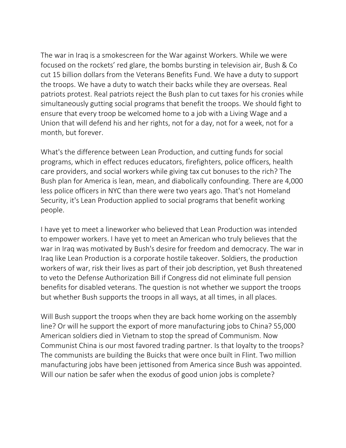The war in Iraq is a smokescreen for the War against Workers. While we were focused on the rockets' red glare, the bombs bursting in television air, Bush & Co cut 15 billion dollars from the Veterans Benefits Fund. We have a duty to support the troops. We have a duty to watch their backs while they are overseas. Real patriots protest. Real patriots reject the Bush plan to cut taxes for his cronies while simultaneously gutting social programs that benefit the troops. We should fight to ensure that every troop be welcomed home to a job with a Living Wage and a Union that will defend his and her rights, not for a day, not for a week, not for a month, but forever.

What's the difference between Lean Production, and cutting funds for social programs, which in effect reduces educators, firefighters, police officers, health care providers, and social workers while giving tax cut bonuses to the rich? The Bush plan for America is lean, mean, and diabolically confounding. There are 4,000 less police officers in NYC than there were two years ago. That's not Homeland Security, it's Lean Production applied to social programs that benefit working people.

I have yet to meet a lineworker who believed that Lean Production was intended to empower workers. I have yet to meet an American who truly believes that the war in Iraq was motivated by Bush's desire for freedom and democracy. The war in Iraq like Lean Production is a corporate hostile takeover. Soldiers, the production workers of war, risk their lives as part of their job description, yet Bush threatened to veto the Defense Authorization Bill if Congress did not eliminate full pension benefits for disabled veterans. The question is not whether we support the troops but whether Bush supports the troops in all ways, at all times, in all places.

Will Bush support the troops when they are back home working on the assembly line? Or will he support the export of more manufacturing jobs to China? 55,000 American soldiers died in Vietnam to stop the spread of Communism. Now Communist China is our most favored trading partner. Is that loyalty to the troops? The communists are building the Buicks that were once built in Flint. Two million manufacturing jobs have been jettisoned from America since Bush was appointed. Will our nation be safer when the exodus of good union jobs is complete?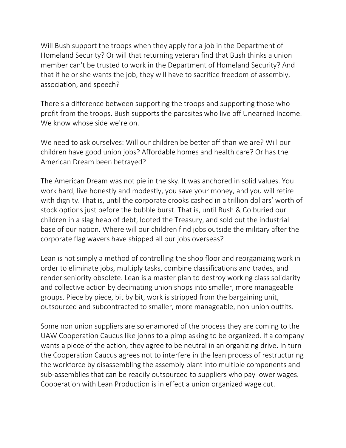Will Bush support the troops when they apply for a job in the Department of Homeland Security? Or will that returning veteran find that Bush thinks a union member can't be trusted to work in the Department of Homeland Security? And that if he or she wants the job, they will have to sacrifice freedom of assembly, association, and speech?

There's a difference between supporting the troops and supporting those who profit from the troops. Bush supports the parasites who live off Unearned Income. We know whose side we're on.

We need to ask ourselves: Will our children be better off than we are? Will our children have good union jobs? Affordable homes and health care? Or has the American Dream been betrayed?

The American Dream was not pie in the sky. It was anchored in solid values. You work hard, live honestly and modestly, you save your money, and you will retire with dignity. That is, until the corporate crooks cashed in a trillion dollars' worth of stock options just before the bubble burst. That is, until Bush & Co buried our children in a slag heap of debt, looted the Treasury, and sold out the industrial base of our nation. Where will our children find jobs outside the military after the corporate flag wavers have shipped all our jobs overseas?

Lean is not simply a method of controlling the shop floor and reorganizing work in order to eliminate jobs, multiply tasks, combine classifications and trades, and render seniority obsolete. Lean is a master plan to destroy working class solidarity and collective action by decimating union shops into smaller, more manageable groups. Piece by piece, bit by bit, work is stripped from the bargaining unit, outsourced and subcontracted to smaller, more manageable, non union outfits.

Some non union suppliers are so enamored of the process they are coming to the UAW Cooperation Caucus like johns to a pimp asking to be organized. If a company wants a piece of the action, they agree to be neutral in an organizing drive. In turn the Cooperation Caucus agrees not to interfere in the lean process of restructuring the workforce by disassembling the assembly plant into multiple components and sub-assemblies that can be readily outsourced to suppliers who pay lower wages. Cooperation with Lean Production is in effect a union organized wage cut.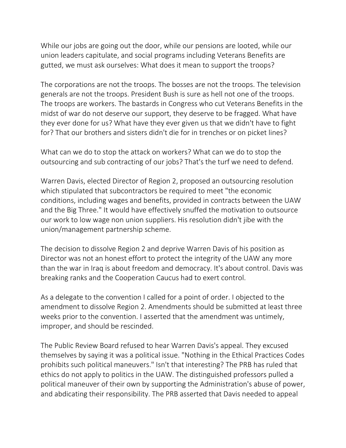While our jobs are going out the door, while our pensions are looted, while our union leaders capitulate, and social programs including Veterans Benefits are gutted, we must ask ourselves: What does it mean to support the troops?

The corporations are not the troops. The bosses are not the troops. The television generals are not the troops. President Bush is sure as hell not one of the troops. The troops are workers. The bastards in Congress who cut Veterans Benefits in the midst of war do not deserve our support, they deserve to be fragged. What have they ever done for us? What have they ever given us that we didn't have to fight for? That our brothers and sisters didn't die for in trenches or on picket lines?

What can we do to stop the attack on workers? What can we do to stop the outsourcing and sub contracting of our jobs? That's the turf we need to defend.

Warren Davis, elected Director of Region 2, proposed an outsourcing resolution which stipulated that subcontractors be required to meet "the economic conditions, including wages and benefits, provided in contracts between the UAW and the Big Three." It would have effectively snuffed the motivation to outsource our work to low wage non union suppliers. His resolution didn't jibe with the union/management partnership scheme.

The decision to dissolve Region 2 and deprive Warren Davis of his position as Director was not an honest effort to protect the integrity of the UAW any more than the war in Iraq is about freedom and democracy. It's about control. Davis was breaking ranks and the Cooperation Caucus had to exert control.

As a delegate to the convention I called for a point of order. I objected to the amendment to dissolve Region 2. Amendments should be submitted at least three weeks prior to the convention. I asserted that the amendment was untimely, improper, and should be rescinded.

The Public Review Board refused to hear Warren Davis's appeal. They excused themselves by saying it was a political issue. "Nothing in the Ethical Practices Codes prohibits such political maneuvers." Isn't that interesting? The PRB has ruled that ethics do not apply to politics in the UAW. The distinguished professors pulled a political maneuver of their own by supporting the Administration's abuse of power, and abdicating their responsibility. The PRB asserted that Davis needed to appeal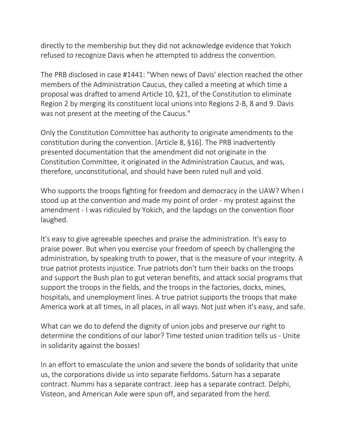directly to the membership but they did not acknowledge evidence that Yokich refused to recognize Davis when he attempted to address the convention.

The PRB disclosed in case #1441: "When news of Davis' election reached the other members of the Administration Caucus, they called a meeting at which time a proposal was drafted to amend Article 10, §21, of the Constitution to eliminate Region 2 by merging its constituent local unions into Regions 2-B, 8 and 9. Davis was not present at the meeting of the Caucus."

Only the Constitution Committee has authority to originate amendments to the constitution during the convention. [Article 8, §16]. The PRB inadvertently presented documentation that the amendment did not originate in the Constitution Committee, it originated in the Administration Caucus, and was, therefore, unconstitutional, and should have been ruled null and void.

Who supports the troops fighting for freedom and democracy in the UAW? When I stood up at the convention and made my point of order - my protest against the amendment - I was ridiculed by Yokich, and the lapdogs on the convention floor laughed.

It's easy to give agreeable speeches and praise the administration. It's easy to praise power. But when you exercise your freedom of speech by challenging the administration, by speaking truth to power, that is the measure of your integrity. A true patriot protests injustice. True patriots don't turn their backs on the troops and support the Bush plan to gut veteran benefits, and attack social programs that support the troops in the fields, and the troops in the factories, docks, mines, hospitals, and unemployment lines. A true patriot supports the troops that make America work at all times, in all places, in all ways. Not just when it's easy, and safe.

What can we do to defend the dignity of union jobs and preserve our right to determine the conditions of our labor? Time tested union tradition tells us - Unite in solidarity against the bosses!

In an effort to emasculate the union and severe the bonds of solidarity that unite us, the corporations divide us into separate fiefdoms. Saturn has a separate contract. Nummi has a separate contract. Jeep has a separate contract. Delphi, Visteon, and American Axle were spun off, and separated from the herd.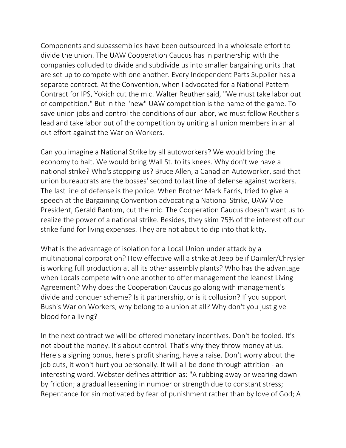Components and subassemblies have been outsourced in a wholesale effort to divide the union. The UAW Cooperation Caucus has in partnership with the companies colluded to divide and subdivide us into smaller bargaining units that are set up to compete with one another. Every Independent Parts Supplier has a separate contract. At the Convention, when I advocated for a National Pattern Contract for IPS, Yokich cut the mic. Walter Reuther said, "We must take labor out of competition." But in the "new" UAW competition is the name of the game. To save union jobs and control the conditions of our labor, we must follow Reuther's lead and take labor out of the competition by uniting all union members in an all out effort against the War on Workers.

Can you imagine a National Strike by all autoworkers? We would bring the economy to halt. We would bring Wall St. to its knees. Why don't we have a national strike? Who's stopping us? Bruce Allen, a Canadian Autoworker, said that union bureaucrats are the bosses' second to last line of defense against workers. The last line of defense is the police. When Brother Mark Farris, tried to give a speech at the Bargaining Convention advocating a National Strike, UAW Vice President, Gerald Bantom, cut the mic. The Cooperation Caucus doesn't want us to realize the power of a national strike. Besides, they skim 75% of the interest off our strike fund for living expenses. They are not about to dip into that kitty.

What is the advantage of isolation for a Local Union under attack by a multinational corporation? How effective will a strike at Jeep be if Daimler/Chrysler is working full production at all its other assembly plants? Who has the advantage when Locals compete with one another to offer management the leanest Living Agreement? Why does the Cooperation Caucus go along with management's divide and conquer scheme? Is it partnership, or is it collusion? If you support Bush's War on Workers, why belong to a union at all? Why don't you just give blood for a living?

In the next contract we will be offered monetary incentives. Don't be fooled. It's not about the money. It's about control. That's why they throw money at us. Here's a signing bonus, here's profit sharing, have a raise. Don't worry about the job cuts, it won't hurt you personally. It will all be done through attrition - an interesting word. Webster defines attrition as: "A rubbing away or wearing down by friction; a gradual lessening in number or strength due to constant stress; Repentance for sin motivated by fear of punishment rather than by love of God; A